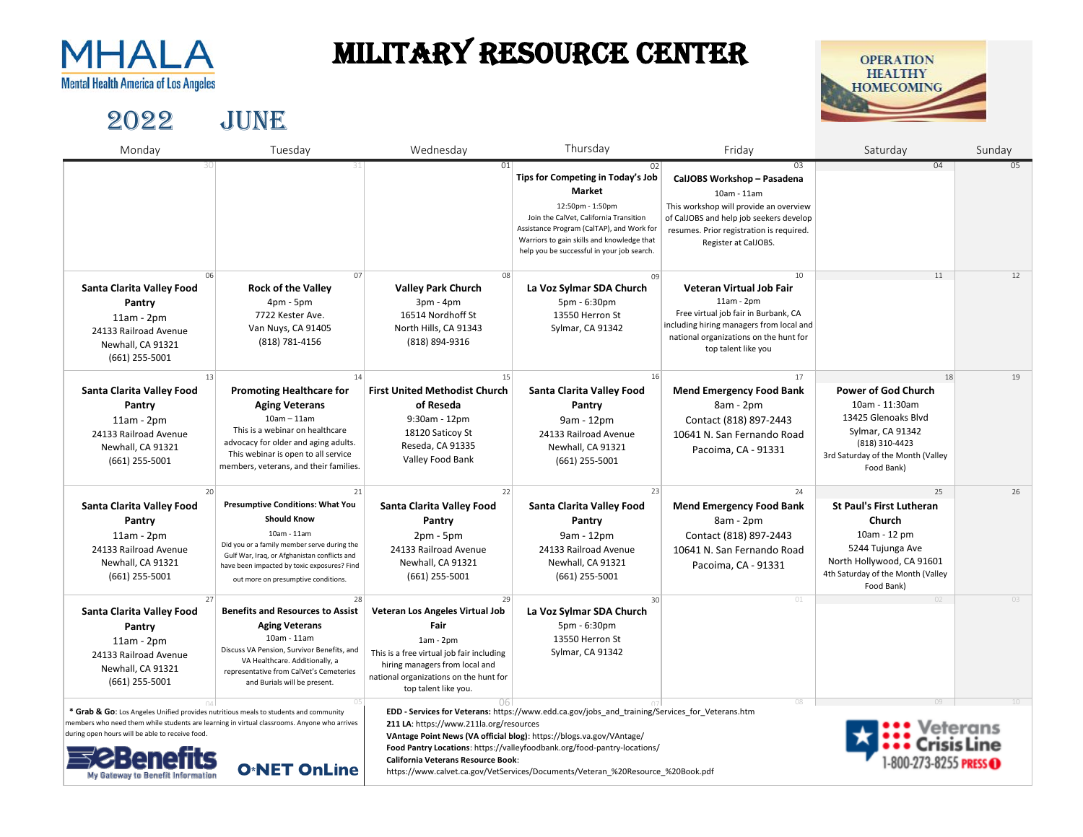

## Military Resource Center



2022 JUNE

| Monday                                                                                                                                                                                                                                                                                | Tuesday                                                                                                                                                                                                                                                                 | Wednesday                                                                                                                                                                                                     | Thursday                                                                                                                                                                                                                                                                                                                               | Friday                                                                                                                                                                                                    | Saturday                                                                                                                                                            | Sunday |
|---------------------------------------------------------------------------------------------------------------------------------------------------------------------------------------------------------------------------------------------------------------------------------------|-------------------------------------------------------------------------------------------------------------------------------------------------------------------------------------------------------------------------------------------------------------------------|---------------------------------------------------------------------------------------------------------------------------------------------------------------------------------------------------------------|----------------------------------------------------------------------------------------------------------------------------------------------------------------------------------------------------------------------------------------------------------------------------------------------------------------------------------------|-----------------------------------------------------------------------------------------------------------------------------------------------------------------------------------------------------------|---------------------------------------------------------------------------------------------------------------------------------------------------------------------|--------|
| 30                                                                                                                                                                                                                                                                                    |                                                                                                                                                                                                                                                                         | 01                                                                                                                                                                                                            | 02<br>Tips for Competing in Today's Job<br>Market<br>12:50pm - 1:50pm<br>Join the CalVet, California Transition<br>Assistance Program (CalTAP), and Work for<br>Warriors to gain skills and knowledge that<br>help you be successful in your job search.                                                                               | 03<br>CalJOBS Workshop - Pasadena<br>10am - 11am<br>This workshop will provide an overview<br>of CalJOBS and help job seekers develop<br>resumes. Prior registration is required.<br>Register at CalJOBS. | 04                                                                                                                                                                  | 05     |
| 06<br>Santa Clarita Valley Food<br>Pantry<br>$11am - 2pm$<br>24133 Railroad Avenue<br>Newhall, CA 91321<br>$(661)$ 255-5001                                                                                                                                                           | 07<br><b>Rock of the Valley</b><br>$4pm - 5pm$<br>7722 Kester Ave.<br>Van Nuys, CA 91405<br>(818) 781-4156                                                                                                                                                              | 08<br><b>Valley Park Church</b><br>$3pm - 4pm$<br>16514 Nordhoff St<br>North Hills, CA 91343<br>(818) 894-9316                                                                                                | 09<br>La Voz Sylmar SDA Church<br>5pm - 6:30pm<br>13550 Herron St<br>Sylmar, CA 91342                                                                                                                                                                                                                                                  | 10<br>Veteran Virtual Job Fair<br>$11am - 2pm$<br>Free virtual job fair in Burbank, CA<br>including hiring managers from local and<br>national organizations on the hunt for<br>top talent like you       | 11                                                                                                                                                                  | 12     |
| 13<br>Santa Clarita Valley Food<br>Pantry<br>$11am - 2pm$<br>24133 Railroad Avenue<br>Newhall, CA 91321<br>(661) 255-5001                                                                                                                                                             | <b>Promoting Healthcare for</b><br><b>Aging Veterans</b><br>$10am - 11am$<br>This is a webinar on healthcare<br>advocacy for older and aging adults.<br>This webinar is open to all service<br>members, veterans, and their families.                                   | 15<br><b>First United Methodist Church</b><br>of Reseda<br>9:30am - 12pm<br>18120 Saticoy St<br>Reseda, CA 91335<br>Valley Food Bank                                                                          | 16<br>Santa Clarita Valley Food<br>Pantry<br>9am - 12pm<br>24133 Railroad Avenue<br>Newhall, CA 91321<br>$(661)$ 255-5001                                                                                                                                                                                                              | 17<br><b>Mend Emergency Food Bank</b><br>8am - 2pm<br>Contact (818) 897-2443<br>10641 N. San Fernando Road<br>Pacoima, CA - 91331                                                                         | 18<br><b>Power of God Church</b><br>10am - 11:30am<br>13425 Glenoaks Blvd<br>Sylmar, CA 91342<br>(818) 310-4423<br>3rd Saturday of the Month (Valley<br>Food Bank)  | 19     |
| 20<br>Santa Clarita Valley Food<br>Pantry<br>$11am - 2pm$<br>24133 Railroad Avenue<br>Newhall, CA 91321<br>(661) 255-5001                                                                                                                                                             | 21<br><b>Presumptive Conditions: What You</b><br><b>Should Know</b><br>10am - 11am<br>Did you or a family member serve during the<br>Gulf War, Iraq, or Afghanistan conflicts and<br>have been impacted by toxic exposures? Find<br>out more on presumptive conditions. | 22<br>Santa Clarita Valley Food<br>Pantry<br>$2pm - 5pm$<br>24133 Railroad Avenue<br>Newhall, CA 91321<br>$(661)$ 255-5001                                                                                    | 23<br>Santa Clarita Valley Food<br>Pantry<br>9am - 12pm<br>24133 Railroad Avenue<br>Newhall, CA 91321<br>$(661)$ 255-5001                                                                                                                                                                                                              | 24<br><b>Mend Emergency Food Bank</b><br>8am - 2pm<br>Contact (818) 897-2443<br>10641 N. San Fernando Road<br>Pacoima, CA - 91331                                                                         | 25<br><b>St Paul's First Lutheran</b><br>Church<br>10am - 12 pm<br>5244 Tujunga Ave<br>North Hollywood, CA 91601<br>4th Saturday of the Month (Valley<br>Food Bank) | 26     |
| 27<br><b>Santa Clarita Valley Food</b><br>Pantry<br>$11am - 2pm$<br>24133 Railroad Avenue<br>Newhall, CA 91321<br>$(661)$ 255-5001                                                                                                                                                    | 28<br><b>Benefits and Resources to Assist</b><br><b>Aging Veterans</b><br>10am - 11am<br>Discuss VA Pension, Survivor Benefits, and<br>VA Healthcare. Additionally, a<br>representative from CalVet's Cemeteries<br>and Burials will be present.                        | 29<br>Veteran Los Angeles Virtual Job<br>Fair<br>$1am - 2pm$<br>This is a free virtual job fair including<br>hiring managers from local and<br>national organizations on the hunt for<br>top talent like you. | 30<br>La Voz Sylmar SDA Church<br>5pm - 6:30pm<br>13550 Herron St<br>Sylmar, CA 91342                                                                                                                                                                                                                                                  | 01                                                                                                                                                                                                        |                                                                                                                                                                     | 03     |
| * Grab & Go: Los Angeles Unified provides nutritious meals to students and community<br>members who need them while students are learning in virtual classrooms. Anyone who arrives<br>during open hours will be able to receive food.<br>nefits<br>My Gateway to Benefit Information | <b>O*NET OnLine</b>                                                                                                                                                                                                                                                     | 211 LA: https://www.211la.org/resources<br>California Veterans Resource Book:                                                                                                                                 | EDD - Services for Veterans: https://www.edd.ca.gov/jobs_and_training/Services_for_Veterans.htm<br>VAntage Point News (VA official blog): https://blogs.va.gov/VAntage/<br>Food Pantry Locations: https://valleyfoodbank.org/food-pantry-locations/<br>https://www.calvet.ca.gov/VetServices/Documents/Veteran %20Resource %20Book.pdf | 08                                                                                                                                                                                                        |                                                                                                                                                                     |        |